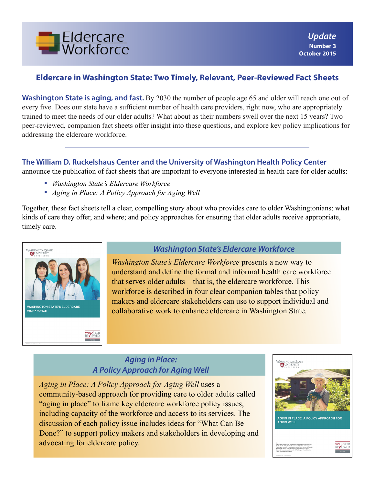

# **Eldercare in Washington State: Two Timely, Relevant, Peer-Reviewed Fact Sheets**

**Washington State is aging, and fast.** By 2030 the number of people age 65 and older will reach one out of every five. Does our state have a sufficient number of health care providers, right now, who are appropriately trained to meet the needs of our older adults? What about as their numbers swell over the next 15 years? Two peer-reviewed, companion fact sheets offer insight into these questions, and explore key policy implications for addressing the eldercare workforce.

### **The William D. Ruckelshaus Center and the University of Washington Health Policy Center**

announce the publication of fact sheets that are important to everyone interested in health care for older adults:

- *Washington State's Eldercare Workforce*
- *Aging in Place: A Policy Approach for Aging Well*

Together, these fact sheets tell a clear, compelling story about who provides care to older Washingtonians; what kinds of care they offer, and where; and policy approaches for ensuring that older adults receive appropriate, timely care.



### *Washington State's Eldercare Workforce*

*Washington State's Eldercare Workforce* presents a new way to understand and define the formal and informal health care workforce that serves older adults – that is, the eldercare workforce. This workforce is described in four clear companion tables that policy makers and eldercare stakeholders can use to support individual and collaborative work to enhance eldercare in Washington State.

## *Aging in Place: A Policy Approach for Aging Well*

*Aging in Place: A Policy Approach for Aging Well* uses a community-based approach for providing care to older adults called "aging in place" to frame key eldercare workforce policy issues, including capacity of the workforce and access to its services. The discussion of each policy issue includes ideas for "What Can Be Done?" to support policy makers and stakeholders in developing and advocating for eldercare policy.